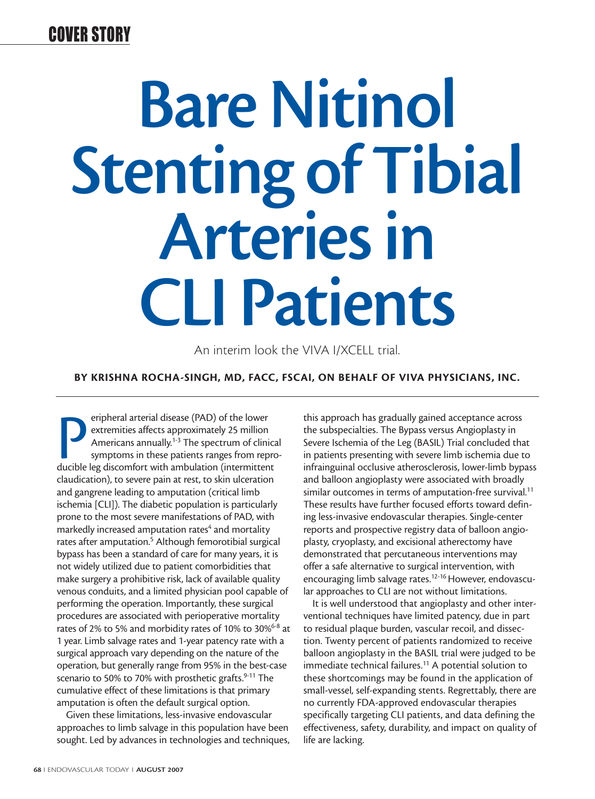### COVER STORY

# **Bare Nitinol Stenting of Tibial Arteries in CLI Patients**

An interim look the VIVA I/XCELL trial.

**BY KRISHNA ROCHA-SINGH, MD, FACC, FSCAI, ON BEHALF OF VIVA PHYSICIANS, INC.**

**Extremities affects approximately 25 million**<br>Americans annually.<sup>1-3</sup> The spectrum of clinic<br>symptoms in these patients ranges from repr<br>ducible leg discomfort with ambulation (intermittent eripheral arterial disease (PAD) of the lower extremities affects approximately 25 million Americans annually.<sup>1-3</sup> The spectrum of clinical symptoms in these patients ranges from reproclaudication), to severe pain at rest, to skin ulceration and gangrene leading to amputation (critical limb ischemia [CLI]). The diabetic population is particularly prone to the most severe manifestations of PAD, with markedly increased amputation rates<sup>4</sup> and mortality rates after amputation.<sup>5</sup> Although femorotibial surgical bypass has been a standard of care for many years, it is not widely utilized due to patient comorbidities that make surgery a prohibitive risk, lack of available quality venous conduits, and a limited physician pool capable of performing the operation. Importantly, these surgical procedures are associated with perioperative mortality rates of 2% to 5% and morbidity rates of 10% to 30%<sup>6-8</sup> at 1 year. Limb salvage rates and 1-year patency rate with a surgical approach vary depending on the nature of the operation, but generally range from 95% in the best-case scenario to 50% to 70% with prosthetic grafts.<sup>9-11</sup> The cumulative effect of these limitations is that primary amputation is often the default surgical option.

Given these limitations, less-invasive endovascular approaches to limb salvage in this population have been sought. Led by advances in technologies and techniques,

this approach has gradually gained acceptance across the subspecialties. The Bypass versus Angioplasty in Severe Ischemia of the Leg (BASIL) Trial concluded that in patients presenting with severe limb ischemia due to infrainguinal occlusive atherosclerosis, lower-limb bypass and balloon angioplasty were associated with broadly similar outcomes in terms of amputation-free survival.<sup>11</sup> These results have further focused efforts toward defining less-invasive endovascular therapies. Single-center reports and prospective registry data of balloon angioplasty, cryoplasty, and excisional atherectomy have demonstrated that percutaneous interventions may offer a safe alternative to surgical intervention, with encouraging limb salvage rates.<sup>12-16</sup> However, endovascular approaches to CLI are not without limitations.

It is well understood that angioplasty and other interventional techniques have limited patency, due in part to residual plaque burden, vascular recoil, and dissection. Twenty percent of patients randomized to receive balloon angioplasty in the BASIL trial were judged to be immediate technical failures.<sup>11</sup> A potential solution to these shortcomings may be found in the application of small-vessel, self-expanding stents. Regrettably, there are no currently FDA-approved endovascular therapies specifically targeting CLI patients, and data defining the effectiveness, safety, durability, and impact on quality of life are lacking.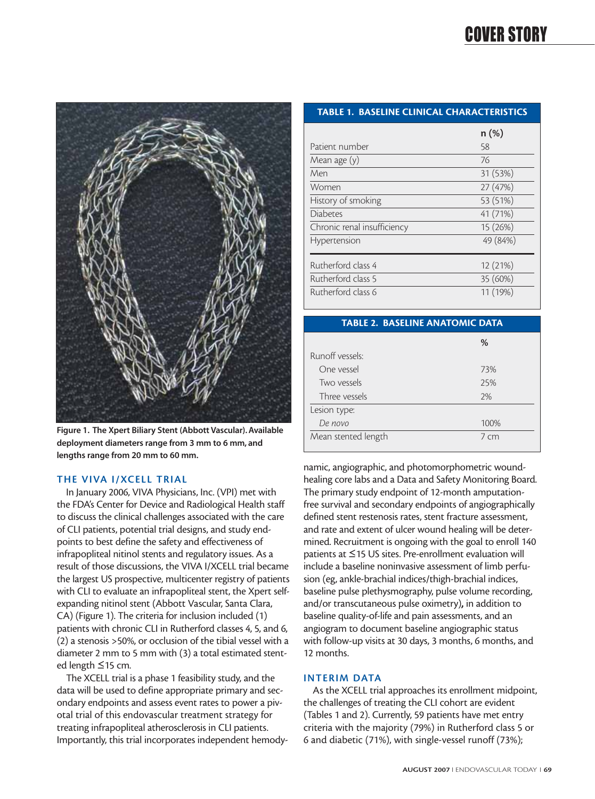# COVER STORY



**Figure 1. The Xpert Biliary Stent (Abbott Vascular). Available deployment diameters range from 3 mm to 6 mm, and lengths range from 20 mm to 60 mm.**

#### **THE VIVA I/XCELL TRIAL**

In January 2006, VIVA Physicians, Inc. (VPI) met with the FDA's Center for Device and Radiological Health staff to discuss the clinical challenges associated with the care of CLI patients, potential trial designs, and study endpoints to best define the safety and effectiveness of infrapopliteal nitinol stents and regulatory issues. As a result of those discussions, the VIVA I/XCELL trial became the largest US prospective, multicenter registry of patients with CLI to evaluate an infrapopliteal stent, the Xpert selfexpanding nitinol stent (Abbott Vascular, Santa Clara, CA) (Figure 1). The criteria for inclusion included (1) patients with chronic CLI in Rutherford classes 4, 5, and 6, (2) a stenosis >50%, or occlusion of the tibial vessel with a diameter 2 mm to 5 mm with (3) a total estimated stented length ≤15 cm.

The XCELL trial is a phase 1 feasibility study, and the data will be used to define appropriate primary and secondary endpoints and assess event rates to power a pivotal trial of this endovascular treatment strategy for treating infrapopliteal atherosclerosis in CLI patients. Importantly, this trial incorporates independent hemody-

#### **TABLE 1. BASELINE CLINICAL CHARACTERISTICS**

|                             | $n(\%)$  |
|-----------------------------|----------|
| Patient number              | 58       |
| Mean age (y)                | 76       |
| Men                         | 31 (53%) |
| Women                       | 27 (47%) |
| History of smoking          | 53 (51%) |
| <b>Diabetes</b>             | 41 (71%) |
| Chronic renal insufficiency | 15 (26%) |
| Hypertension                | 49 (84%) |
| Rutherford class 4          | 12 (21%) |
| Rutherford class 5          | 35 (60%) |
| Rutherford class 6          | 11 (19%) |

#### **TABLE 2. BASELINE ANATOMIC DATA**

|                     | %                  |
|---------------------|--------------------|
| Runoff vessels:     |                    |
| One vessel          | 73%                |
| Two vessels         | 25%                |
| Three vessels       | 2%                 |
| Lesion type:        |                    |
| De novo             | 100%               |
| Mean stented length | $7 \, \mathrm{cm}$ |

namic, angiographic, and photomorphometric woundhealing core labs and a Data and Safety Monitoring Board. The primary study endpoint of 12-month amputationfree survival and secondary endpoints of angiographically defined stent restenosis rates, stent fracture assessment, and rate and extent of ulcer wound healing will be determined. Recruitment is ongoing with the goal to enroll 140 patients at ≤15 US sites. Pre-enrollment evaluation will include a baseline noninvasive assessment of limb perfusion (eg, ankle-brachial indices/thigh-brachial indices, baseline pulse plethysmography, pulse volume recording, and/or transcutaneous pulse oximetry), in addition to baseline quality-of-life and pain assessments, and an angiogram to document baseline angiographic status with follow-up visits at 30 days, 3 months, 6 months, and 12 months.

#### **INTERIM DATA**

As the XCELL trial approaches its enrollment midpoint, the challenges of treating the CLI cohort are evident (Tables 1 and 2). Currently, 59 patients have met entry criteria with the majority (79%) in Rutherford class 5 or 6 and diabetic (71%), with single-vessel runoff (73%);